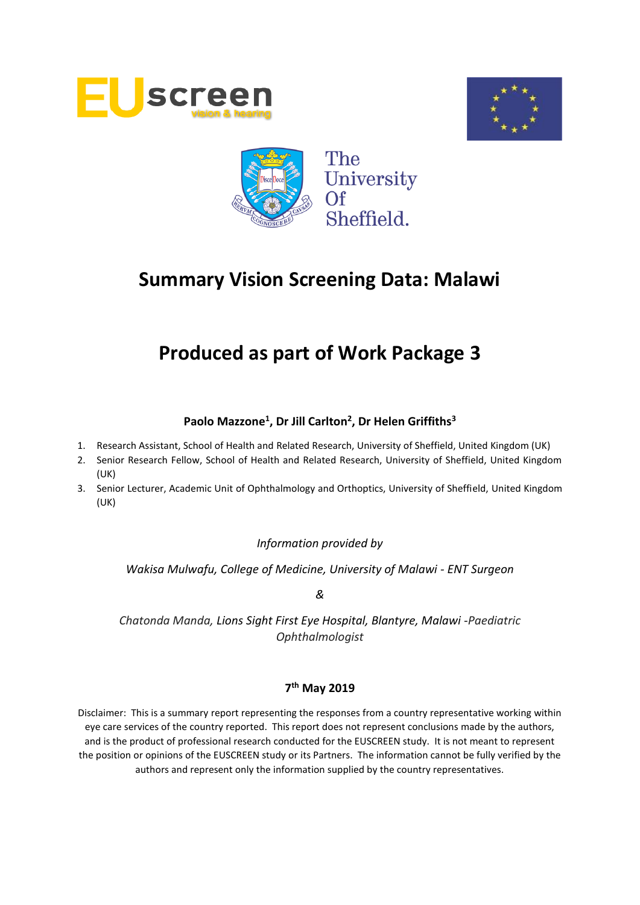





# **Produced as part of Work Package 3**

# **Paolo Mazzone<sup>1</sup> , Dr Jill Carlton<sup>2</sup> , Dr Helen Griffiths<sup>3</sup>**

- 1. Research Assistant, School of Health and Related Research, University of Sheffield, United Kingdom (UK)
- 2. Senior Research Fellow, School of Health and Related Research, University of Sheffield, United Kingdom (UK)
- 3. Senior Lecturer, Academic Unit of Ophthalmology and Orthoptics, University of Sheffield, United Kingdom (UK)

*Information provided by*

*Wakisa Mulwafu, College of Medicine, University of Malawi - ENT Surgeon*

*&*

*Chatonda Manda, Lions Sight First Eye Hospital, Blantyre, Malawi -Paediatric Ophthalmologist*

# **7 th May 2019**

Disclaimer: This is a summary report representing the responses from a country representative working within eye care services of the country reported. This report does not represent conclusions made by the authors, and is the product of professional research conducted for the EUSCREEN study. It is not meant to represent the position or opinions of the EUSCREEN study or its Partners. The information cannot be fully verified by the authors and represent only the information supplied by the country representatives.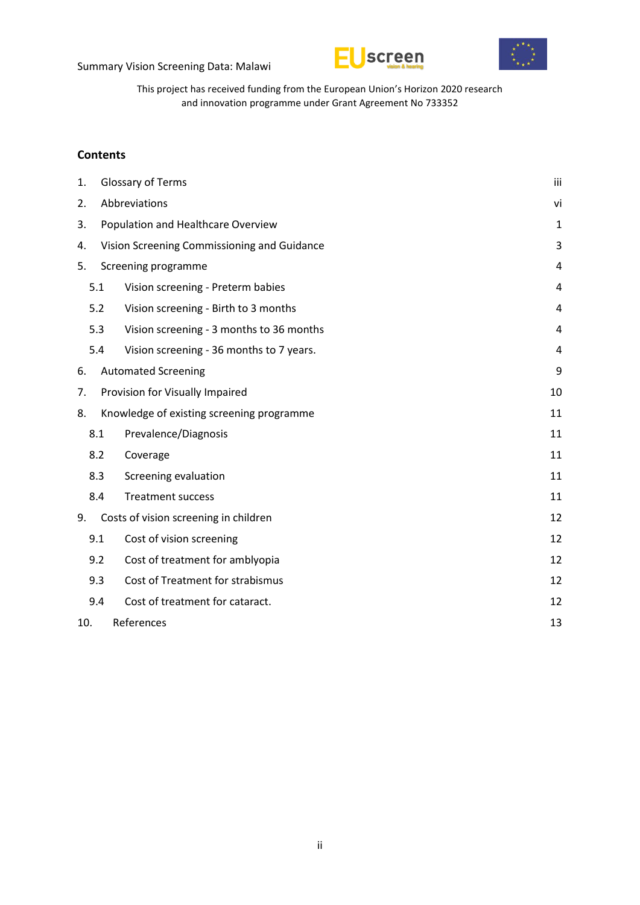



This project has received funding from the European Union's Horizon 2020 research and innovation programme under Grant Agreement No 733352

#### **Contents**

| 1.                |                                    | Glossary of Terms<br>iii                    |    |  |  |  |  |
|-------------------|------------------------------------|---------------------------------------------|----|--|--|--|--|
| 2.                | Abbreviations                      |                                             |    |  |  |  |  |
| 3.                | Population and Healthcare Overview |                                             |    |  |  |  |  |
| 4.                |                                    | Vision Screening Commissioning and Guidance |    |  |  |  |  |
|                   | Screening programme<br>5.          |                                             |    |  |  |  |  |
|                   | 5.1                                | Vision screening - Preterm babies           | 4  |  |  |  |  |
|                   | 5.2                                | Vision screening - Birth to 3 months        | 4  |  |  |  |  |
|                   | 5.3                                | Vision screening - 3 months to 36 months    | 4  |  |  |  |  |
|                   | 5.4                                | Vision screening - 36 months to 7 years.    | 4  |  |  |  |  |
| 6.                |                                    | <b>Automated Screening</b>                  | 9  |  |  |  |  |
| 7.                |                                    | Provision for Visually Impaired             | 10 |  |  |  |  |
| 8.                |                                    | Knowledge of existing screening programme   | 11 |  |  |  |  |
|                   | 8.1                                | Prevalence/Diagnosis                        | 11 |  |  |  |  |
|                   | 8.2                                | Coverage                                    | 11 |  |  |  |  |
|                   | 8.3                                | Screening evaluation                        | 11 |  |  |  |  |
|                   | 8.4                                | <b>Treatment success</b>                    | 11 |  |  |  |  |
| 9.                |                                    | Costs of vision screening in children       | 12 |  |  |  |  |
|                   | 9.1                                | Cost of vision screening                    | 12 |  |  |  |  |
|                   | 9.2                                | Cost of treatment for amblyopia             | 12 |  |  |  |  |
|                   | 9.3                                | Cost of Treatment for strabismus            | 12 |  |  |  |  |
|                   | 9.4                                | Cost of treatment for cataract.             | 12 |  |  |  |  |
| References<br>10. |                                    |                                             | 13 |  |  |  |  |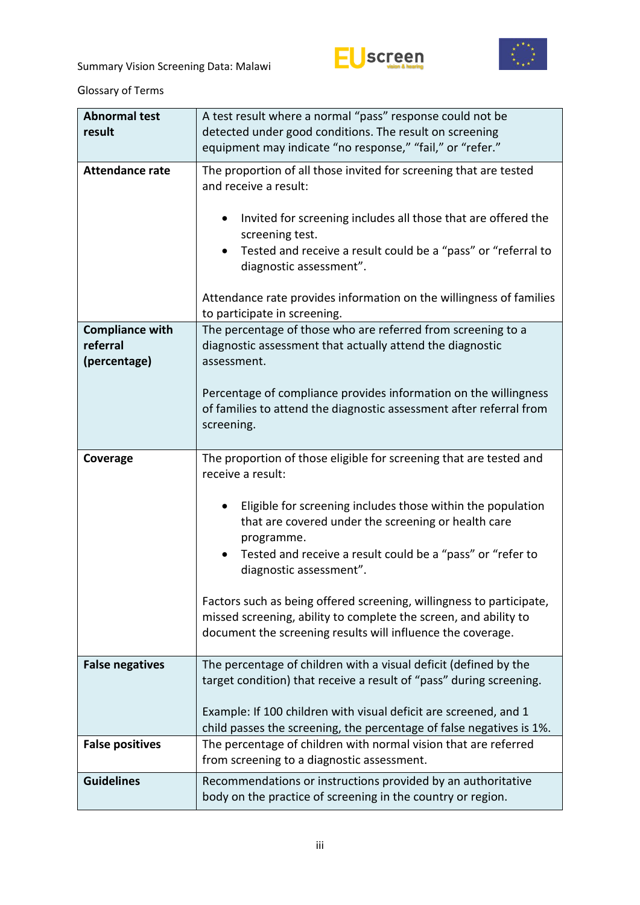



<span id="page-2-0"></span>Glossary of Terms

| <b>Abnormal test</b><br>result                     | A test result where a normal "pass" response could not be<br>detected under good conditions. The result on screening<br>equipment may indicate "no response," "fail," or "refer."                                                                                                                                                                                                                                                                                                                                               |  |  |  |  |
|----------------------------------------------------|---------------------------------------------------------------------------------------------------------------------------------------------------------------------------------------------------------------------------------------------------------------------------------------------------------------------------------------------------------------------------------------------------------------------------------------------------------------------------------------------------------------------------------|--|--|--|--|
| <b>Attendance rate</b>                             | The proportion of all those invited for screening that are tested<br>and receive a result:<br>Invited for screening includes all those that are offered the<br>screening test.<br>Tested and receive a result could be a "pass" or "referral to<br>diagnostic assessment".<br>Attendance rate provides information on the willingness of families<br>to participate in screening.                                                                                                                                               |  |  |  |  |
| <b>Compliance with</b><br>referral<br>(percentage) | The percentage of those who are referred from screening to a<br>diagnostic assessment that actually attend the diagnostic<br>assessment.<br>Percentage of compliance provides information on the willingness<br>of families to attend the diagnostic assessment after referral from<br>screening.                                                                                                                                                                                                                               |  |  |  |  |
| Coverage                                           | The proportion of those eligible for screening that are tested and<br>receive a result:<br>Eligible for screening includes those within the population<br>that are covered under the screening or health care<br>programme.<br>Tested and receive a result could be a "pass" or "refer to<br>diagnostic assessment".<br>Factors such as being offered screening, willingness to participate,<br>missed screening, ability to complete the screen, and ability to<br>document the screening results will influence the coverage. |  |  |  |  |
| <b>False negatives</b>                             | The percentage of children with a visual deficit (defined by the<br>target condition) that receive a result of "pass" during screening.<br>Example: If 100 children with visual deficit are screened, and 1<br>child passes the screening, the percentage of false negatives is 1%.                                                                                                                                                                                                                                             |  |  |  |  |
| <b>False positives</b>                             | The percentage of children with normal vision that are referred<br>from screening to a diagnostic assessment.                                                                                                                                                                                                                                                                                                                                                                                                                   |  |  |  |  |
| <b>Guidelines</b>                                  | Recommendations or instructions provided by an authoritative<br>body on the practice of screening in the country or region.                                                                                                                                                                                                                                                                                                                                                                                                     |  |  |  |  |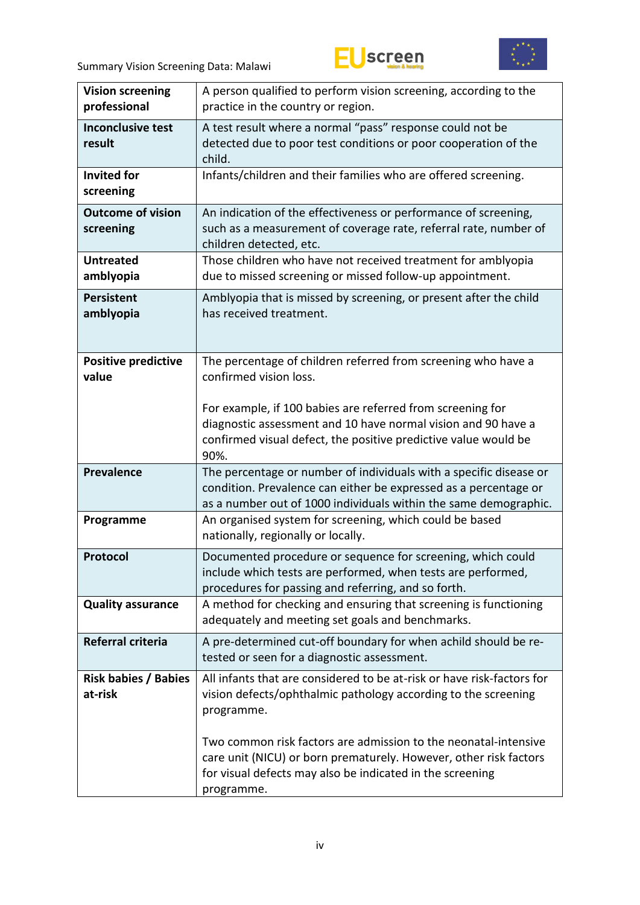



| <b>Vision screening</b><br>professional | A person qualified to perform vision screening, according to the<br>practice in the country or region.                                                                                                          |  |  |  |  |  |
|-----------------------------------------|-----------------------------------------------------------------------------------------------------------------------------------------------------------------------------------------------------------------|--|--|--|--|--|
| <b>Inconclusive test</b><br>result      | A test result where a normal "pass" response could not be<br>detected due to poor test conditions or poor cooperation of the<br>child.                                                                          |  |  |  |  |  |
| <b>Invited for</b><br>screening         | Infants/children and their families who are offered screening.                                                                                                                                                  |  |  |  |  |  |
| <b>Outcome of vision</b><br>screening   | An indication of the effectiveness or performance of screening,<br>such as a measurement of coverage rate, referral rate, number of<br>children detected, etc.                                                  |  |  |  |  |  |
| <b>Untreated</b><br>amblyopia           | Those children who have not received treatment for amblyopia<br>due to missed screening or missed follow-up appointment.                                                                                        |  |  |  |  |  |
| <b>Persistent</b><br>amblyopia          | Amblyopia that is missed by screening, or present after the child<br>has received treatment.                                                                                                                    |  |  |  |  |  |
| <b>Positive predictive</b><br>value     | The percentage of children referred from screening who have a<br>confirmed vision loss.                                                                                                                         |  |  |  |  |  |
|                                         | For example, if 100 babies are referred from screening for<br>diagnostic assessment and 10 have normal vision and 90 have a<br>confirmed visual defect, the positive predictive value would be<br>90%.          |  |  |  |  |  |
| <b>Prevalence</b>                       | The percentage or number of individuals with a specific disease or<br>condition. Prevalence can either be expressed as a percentage or<br>as a number out of 1000 individuals within the same demographic.      |  |  |  |  |  |
| Programme                               | An organised system for screening, which could be based<br>nationally, regionally or locally.                                                                                                                   |  |  |  |  |  |
| Protocol                                | Documented procedure or sequence for screening, which could<br>include which tests are performed, when tests are performed,<br>procedures for passing and referring, and so forth.                              |  |  |  |  |  |
| <b>Quality assurance</b>                | A method for checking and ensuring that screening is functioning<br>adequately and meeting set goals and benchmarks.                                                                                            |  |  |  |  |  |
| Referral criteria                       | A pre-determined cut-off boundary for when achild should be re-<br>tested or seen for a diagnostic assessment.                                                                                                  |  |  |  |  |  |
| <b>Risk babies / Babies</b><br>at-risk  | All infants that are considered to be at-risk or have risk-factors for<br>vision defects/ophthalmic pathology according to the screening<br>programme.                                                          |  |  |  |  |  |
|                                         | Two common risk factors are admission to the neonatal-intensive<br>care unit (NICU) or born prematurely. However, other risk factors<br>for visual defects may also be indicated in the screening<br>programme. |  |  |  |  |  |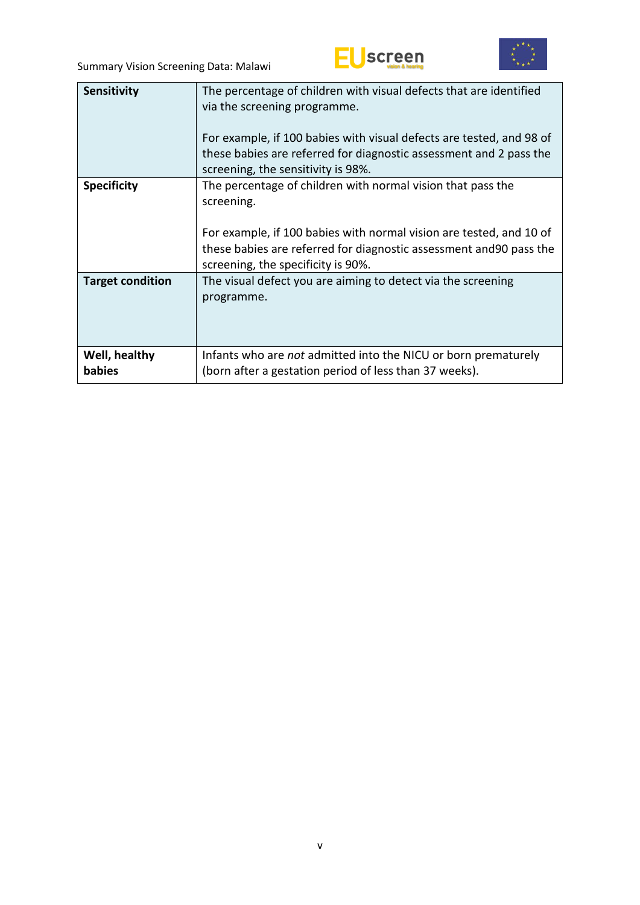



| <b>Sensitivity</b>      | The percentage of children with visual defects that are identified<br>via the screening programme.<br>For example, if 100 babies with visual defects are tested, and 98 of<br>these babies are referred for diagnostic assessment and 2 pass the<br>screening, the sensitivity is 98%. |
|-------------------------|----------------------------------------------------------------------------------------------------------------------------------------------------------------------------------------------------------------------------------------------------------------------------------------|
| <b>Specificity</b>      | The percentage of children with normal vision that pass the<br>screening.<br>For example, if 100 babies with normal vision are tested, and 10 of<br>these babies are referred for diagnostic assessment and 90 pass the<br>screening, the specificity is 90%.                          |
| <b>Target condition</b> | The visual defect you are aiming to detect via the screening<br>programme.                                                                                                                                                                                                             |
| Well, healthy<br>babies | Infants who are not admitted into the NICU or born prematurely<br>(born after a gestation period of less than 37 weeks).                                                                                                                                                               |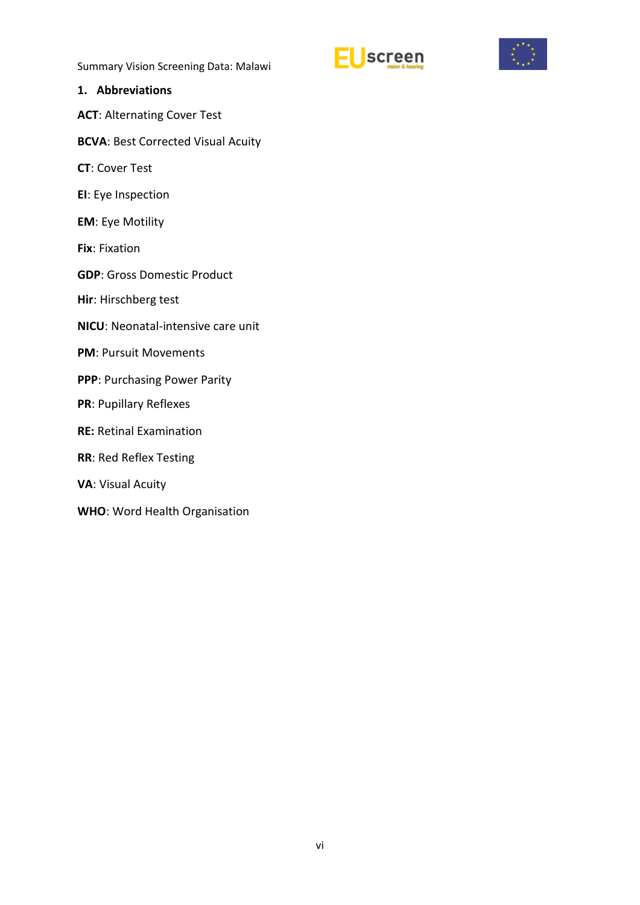![](_page_5_Picture_1.jpeg)

![](_page_5_Picture_2.jpeg)

#### <span id="page-5-0"></span>**1. Abbreviations**

**ACT**: Alternating Cover Test

- **BCVA**: Best Corrected Visual Acuity
- **CT**: Cover Test
- **EI**: Eye Inspection
- **EM**: Eye Motility
- **Fix**: Fixation
- **GDP**: Gross Domestic Product
- **Hir**: Hirschberg test
- **NICU**: Neonatal-intensive care unit
- **PM**: Pursuit Movements
- **PPP**: Purchasing Power Parity
- **PR**: Pupillary Reflexes
- **RE:** Retinal Examination
- **RR**: Red Reflex Testing
- **VA**: Visual Acuity
- **WHO**: Word Health Organisation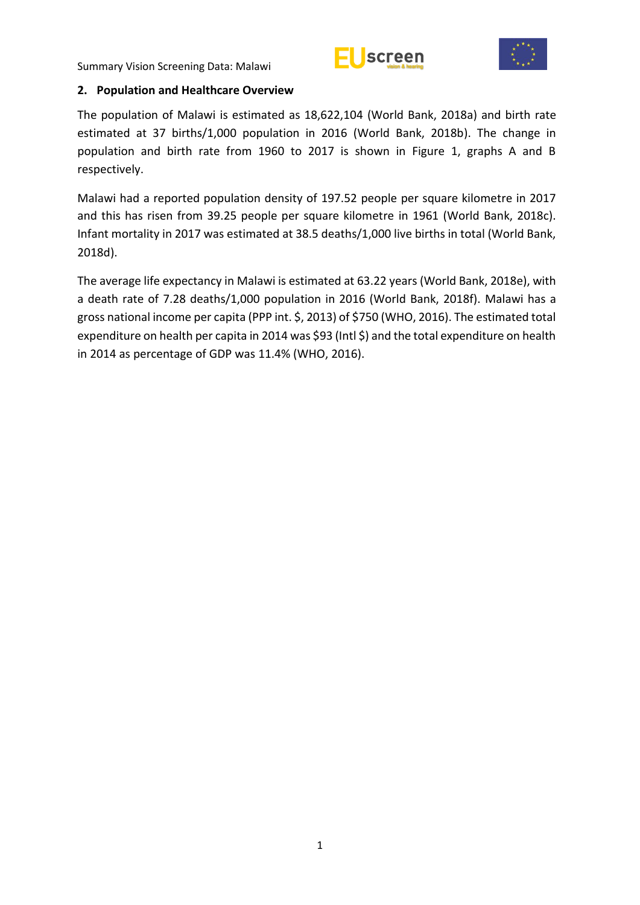![](_page_6_Picture_1.jpeg)

![](_page_6_Picture_2.jpeg)

#### <span id="page-6-0"></span>**2. Population and Healthcare Overview**

The population of Malawi is estimated as 18,622,104 (World Bank, 2018a) and birth rate estimated at 37 births/1,000 population in 2016 (World Bank, 2018b). The change in population and birth rate from 1960 to 2017 is shown in Figure 1, graphs A and B respectively.

Malawi had a reported population density of 197.52 people per square kilometre in 2017 and this has risen from 39.25 people per square kilometre in 1961 (World Bank, 2018c). Infant mortality in 2017 was estimated at 38.5 deaths/1,000 live births in total (World Bank, 2018d).

The average life expectancy in Malawi is estimated at 63.22 years (World Bank, 2018e), with a death rate of 7.28 deaths/1,000 population in 2016 (World Bank, 2018f). Malawi has a gross national income per capita (PPP int. \$, 2013) of \$750 (WHO, 2016). The estimated total expenditure on health per capita in 2014 was \$93 (Intl \$) and the total expenditure on health in 2014 as percentage of GDP was 11.4% (WHO, 2016).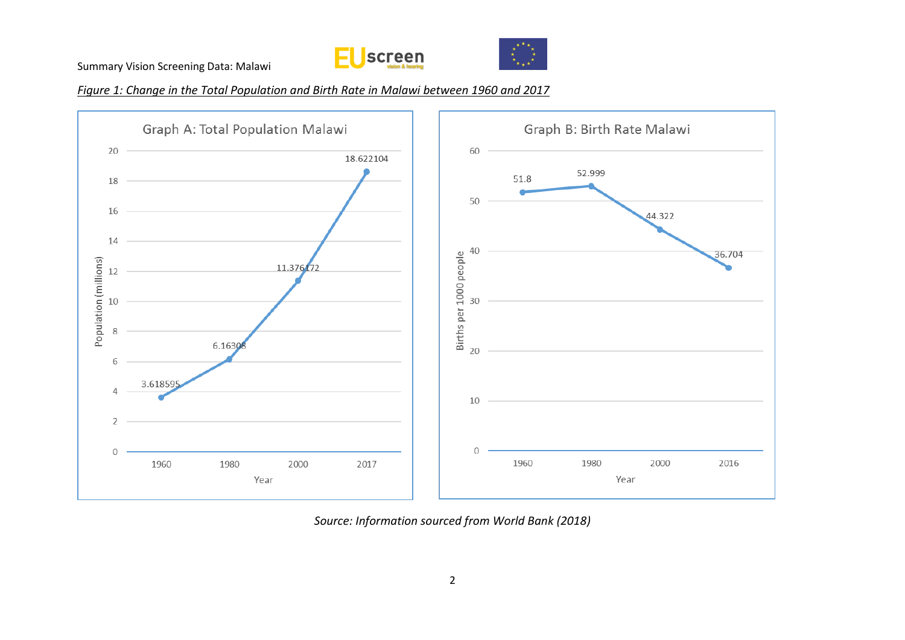![](_page_7_Picture_1.jpeg)

![](_page_7_Picture_2.jpeg)

*Figure 1: Change in the Total Population and Birth Rate in Malawi between 1960 and 2017*

![](_page_7_Figure_4.jpeg)

*Source: Information sourced from World Bank (2018)*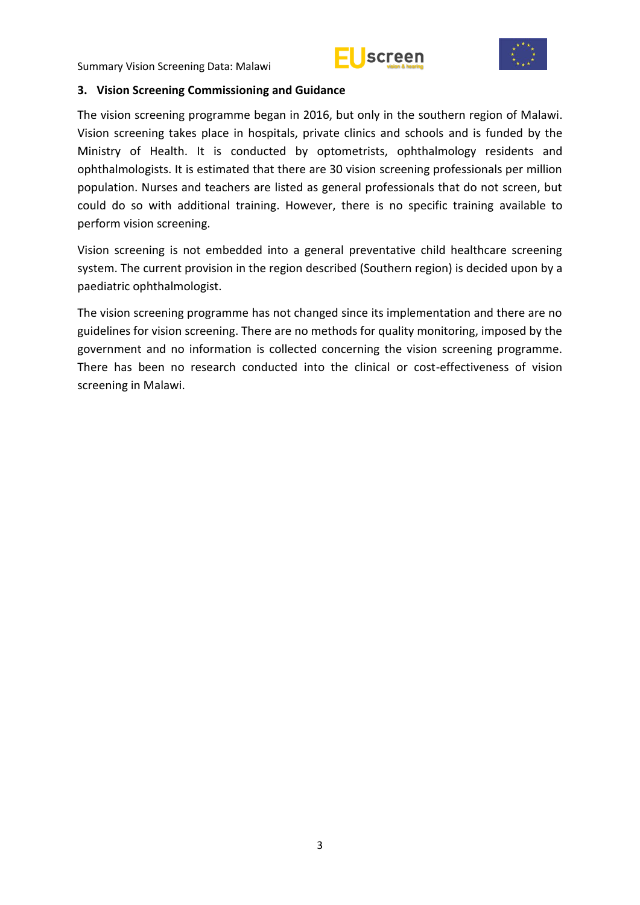![](_page_8_Picture_1.jpeg)

![](_page_8_Picture_2.jpeg)

#### <span id="page-8-0"></span>**3. Vision Screening Commissioning and Guidance**

The vision screening programme began in 2016, but only in the southern region of Malawi. Vision screening takes place in hospitals, private clinics and schools and is funded by the Ministry of Health. It is conducted by optometrists, ophthalmology residents and ophthalmologists. It is estimated that there are 30 vision screening professionals per million population. Nurses and teachers are listed as general professionals that do not screen, but could do so with additional training. However, there is no specific training available to perform vision screening.

Vision screening is not embedded into a general preventative child healthcare screening system. The current provision in the region described (Southern region) is decided upon by a paediatric ophthalmologist.

The vision screening programme has not changed since its implementation and there are no guidelines for vision screening. There are no methods for quality monitoring, imposed by the government and no information is collected concerning the vision screening programme. There has been no research conducted into the clinical or cost-effectiveness of vision screening in Malawi.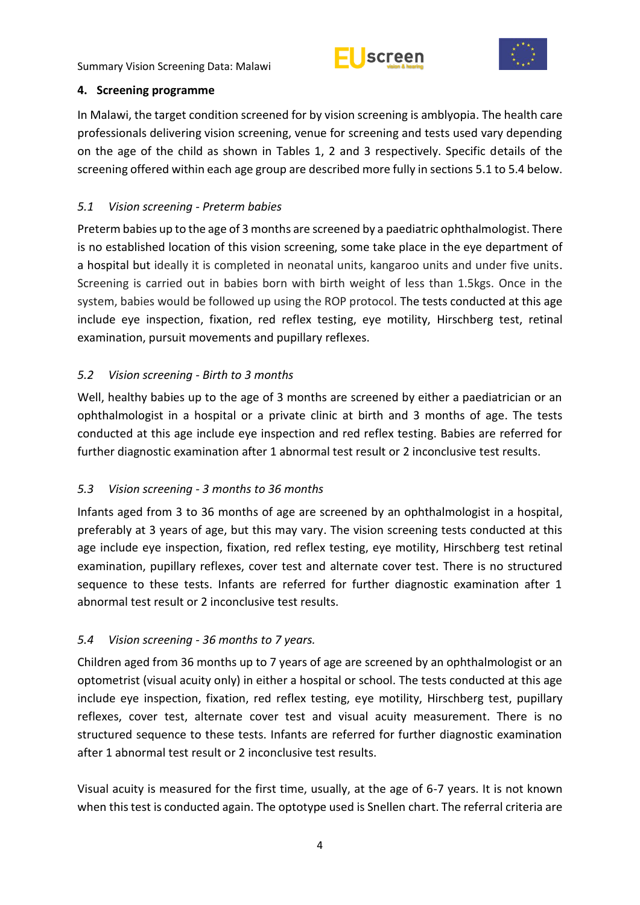![](_page_9_Picture_1.jpeg)

![](_page_9_Picture_2.jpeg)

#### <span id="page-9-0"></span>**4. Screening programme**

In Malawi, the target condition screened for by vision screening is amblyopia. The health care professionals delivering vision screening, venue for screening and tests used vary depending on the age of the child as shown in Tables 1, 2 and 3 respectively. Specific details of the screening offered within each age group are described more fully in sections 5.1 to 5.4 below.

# <span id="page-9-1"></span>*5.1 Vision screening - Preterm babies*

Preterm babies up to the age of 3 months are screened by a paediatric ophthalmologist. There is no established location of this vision screening, some take place in the eye department of a hospital but ideally it is completed in neonatal units, kangaroo units and under five units. Screening is carried out in babies born with birth weight of less than 1.5kgs. Once in the system, babies would be followed up using the ROP protocol. The tests conducted at this age include eye inspection, fixation, red reflex testing, eye motility, Hirschberg test, retinal examination, pursuit movements and pupillary reflexes.

# <span id="page-9-2"></span>*5.2 Vision screening - Birth to 3 months*

Well, healthy babies up to the age of 3 months are screened by either a paediatrician or an ophthalmologist in a hospital or a private clinic at birth and 3 months of age. The tests conducted at this age include eye inspection and red reflex testing. Babies are referred for further diagnostic examination after 1 abnormal test result or 2 inconclusive test results.

## <span id="page-9-3"></span>*5.3 Vision screening - 3 months to 36 months*

Infants aged from 3 to 36 months of age are screened by an ophthalmologist in a hospital, preferably at 3 years of age, but this may vary. The vision screening tests conducted at this age include eye inspection, fixation, red reflex testing, eye motility, Hirschberg test retinal examination, pupillary reflexes, cover test and alternate cover test. There is no structured sequence to these tests. Infants are referred for further diagnostic examination after 1 abnormal test result or 2 inconclusive test results.

## <span id="page-9-4"></span>*5.4 Vision screening - 36 months to 7 years.*

Children aged from 36 months up to 7 years of age are screened by an ophthalmologist or an optometrist (visual acuity only) in either a hospital or school. The tests conducted at this age include eye inspection, fixation, red reflex testing, eye motility, Hirschberg test, pupillary reflexes, cover test, alternate cover test and visual acuity measurement. There is no structured sequence to these tests. Infants are referred for further diagnostic examination after 1 abnormal test result or 2 inconclusive test results.

Visual acuity is measured for the first time, usually, at the age of 6-7 years. It is not known when this test is conducted again. The optotype used is Snellen chart. The referral criteria are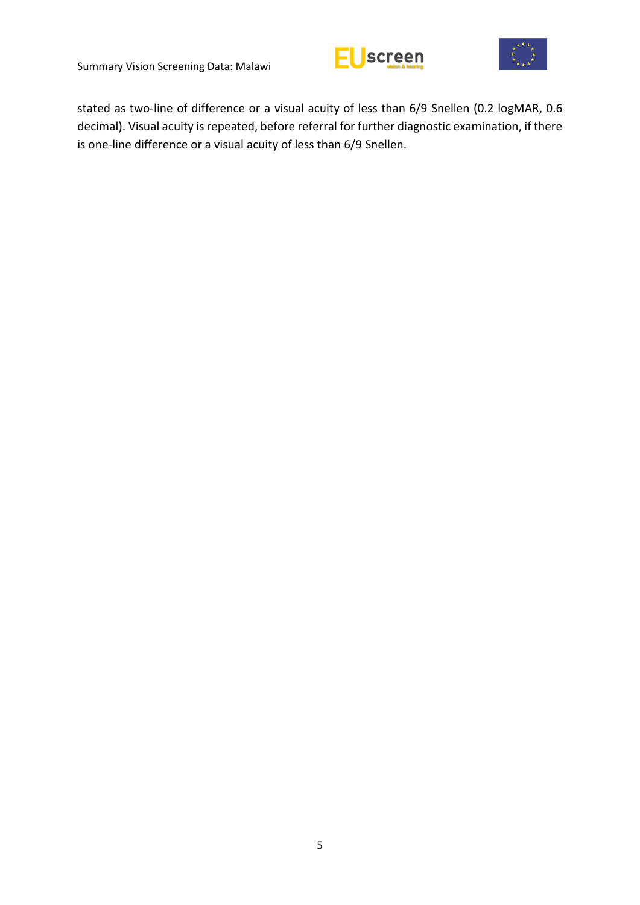![](_page_10_Picture_1.jpeg)

![](_page_10_Picture_2.jpeg)

stated as two-line of difference or a visual acuity of less than 6/9 Snellen (0.2 logMAR, 0.6 decimal). Visual acuity is repeated, before referral for further diagnostic examination, if there is one-line difference or a visual acuity of less than 6/9 Snellen.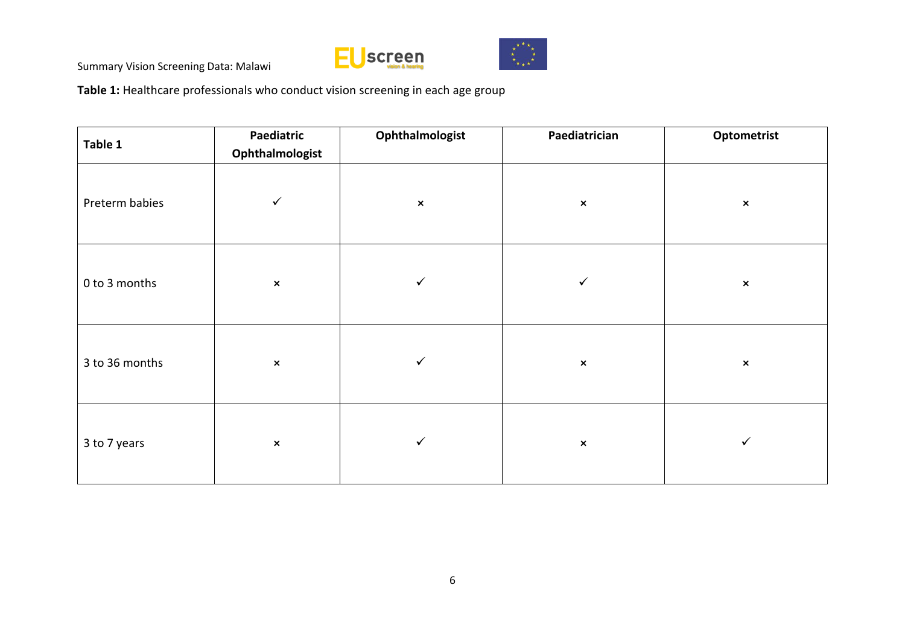![](_page_11_Picture_1.jpeg)

![](_page_11_Picture_2.jpeg)

**Table 1:** Healthcare professionals who conduct vision screening in each age group

| Table 1        | Paediatric<br>Ophthalmologist | Ophthalmologist | Paediatrician  | Optometrist    |
|----------------|-------------------------------|-----------------|----------------|----------------|
| Preterm babies | $\checkmark$                  | $\pmb{\times}$  | $\pmb{\times}$ | $\pmb{\times}$ |
| 0 to 3 months  | $\pmb{\times}$                | ✓               | $\checkmark$   | $\pmb{\times}$ |
| 3 to 36 months | $\pmb{\times}$                | $\checkmark$    | $\pmb{\times}$ | $\pmb{\times}$ |
| 3 to 7 years   | $\pmb{\times}$                | $\checkmark$    | $\pmb{\times}$ | $\checkmark$   |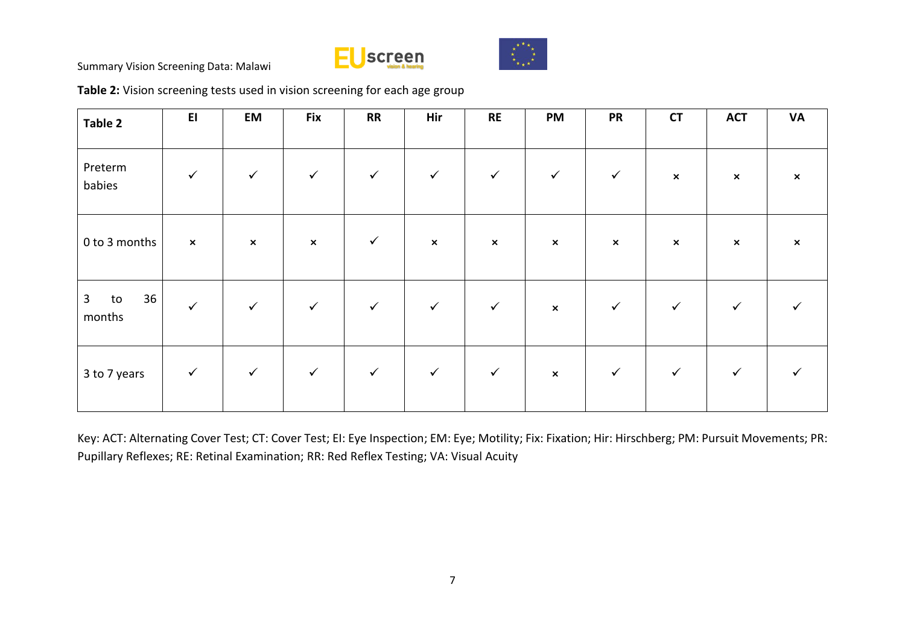![](_page_12_Picture_0.jpeg)

![](_page_12_Picture_1.jpeg)

**Table 2:** Vision screening tests used in vision screening for each age group

| Table 2                            | E1             | EM             | <b>Fix</b>     | <b>RR</b>    | Hir                       | <b>RE</b>      | <b>PM</b>      | <b>PR</b>      | <b>CT</b>                 | <b>ACT</b>   | <b>VA</b>                 |
|------------------------------------|----------------|----------------|----------------|--------------|---------------------------|----------------|----------------|----------------|---------------------------|--------------|---------------------------|
| Preterm<br>babies                  | $\checkmark$   | $\checkmark$   | $\checkmark$   | $\checkmark$ | $\checkmark$              | $\checkmark$   | $\checkmark$   | $\checkmark$   | $\boldsymbol{\mathsf{x}}$ | $\mathsf{x}$ | $\boldsymbol{\mathsf{x}}$ |
| 0 to 3 months                      | $\pmb{\times}$ | $\pmb{\times}$ | $\pmb{\times}$ | $\checkmark$ | $\boldsymbol{\mathsf{x}}$ | $\pmb{\times}$ | $\pmb{\times}$ | $\pmb{\times}$ | $\boldsymbol{\mathsf{x}}$ | $\mathsf{x}$ | $\boldsymbol{\mathsf{x}}$ |
| 36<br>$\mathbf{3}$<br>to<br>months | $\checkmark$   | $\checkmark$   | $\checkmark$   | $\checkmark$ | $\checkmark$              | $\checkmark$   | $\pmb{\times}$ | $\checkmark$   | $\checkmark$              | $\checkmark$ |                           |
| 3 to 7 years                       | $\checkmark$   | $\checkmark$   | $\checkmark$   | $\checkmark$ | $\checkmark$              | $\checkmark$   | $\pmb{\times}$ | $\checkmark$   | $\checkmark$              | $\checkmark$ |                           |

Key: ACT: Alternating Cover Test; CT: Cover Test; EI: Eye Inspection; EM: Eye; Motility; Fix: Fixation; Hir: Hirschberg; PM: Pursuit Movements; PR: Pupillary Reflexes; RE: Retinal Examination; RR: Red Reflex Testing; VA: Visual Acuity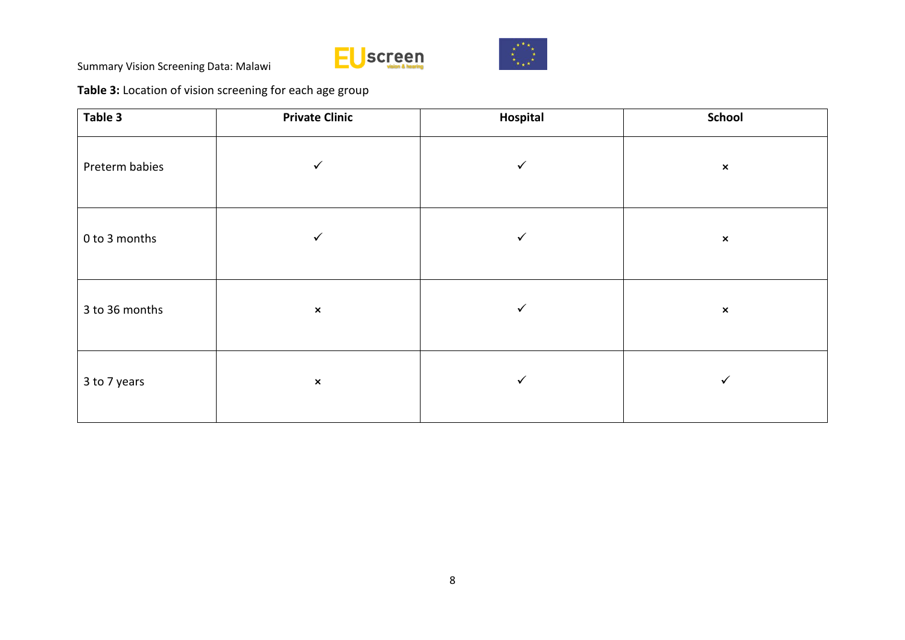![](_page_13_Picture_0.jpeg)

![](_page_13_Picture_1.jpeg)

**Table 3:** Location of vision screening for each age group

| Table 3        | <b>Private Clinic</b> | Hospital     | <b>School</b>  |
|----------------|-----------------------|--------------|----------------|
| Preterm babies | $\checkmark$          | $\checkmark$ | $\pmb{\times}$ |
| 0 to 3 months  | ✓                     | $\checkmark$ | $\pmb{\times}$ |
| 3 to 36 months | $\pmb{\times}$        | $\checkmark$ | $\pmb{\times}$ |
| 3 to 7 years   | $\pmb{\times}$        | $\checkmark$ | $\checkmark$   |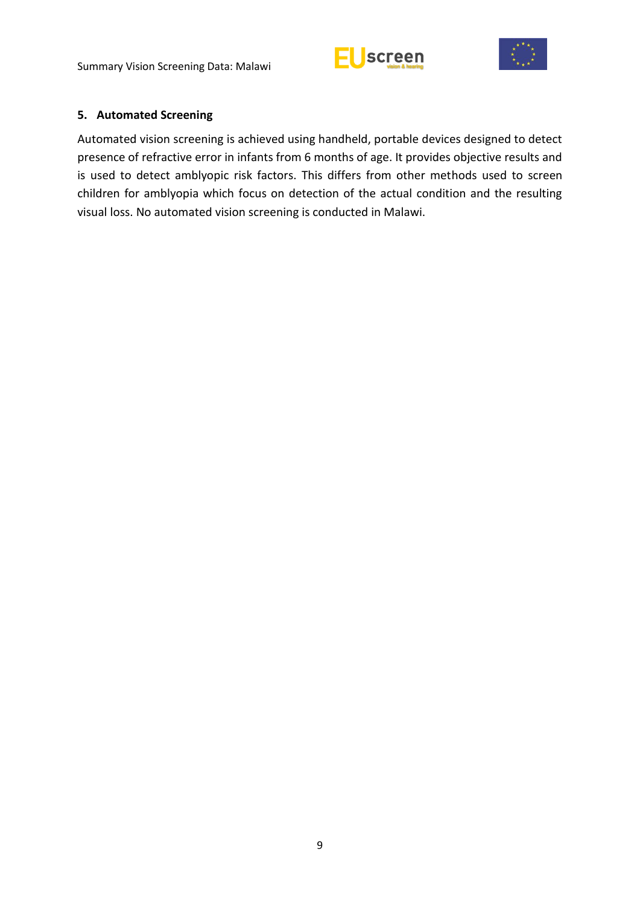![](_page_14_Picture_1.jpeg)

![](_page_14_Picture_2.jpeg)

#### <span id="page-14-0"></span>**5. Automated Screening**

Automated vision screening is achieved using handheld, portable devices designed to detect presence of refractive error in infants from 6 months of age. It provides objective results and is used to detect amblyopic risk factors. This differs from other methods used to screen children for amblyopia which focus on detection of the actual condition and the resulting visual loss. No automated vision screening is conducted in Malawi.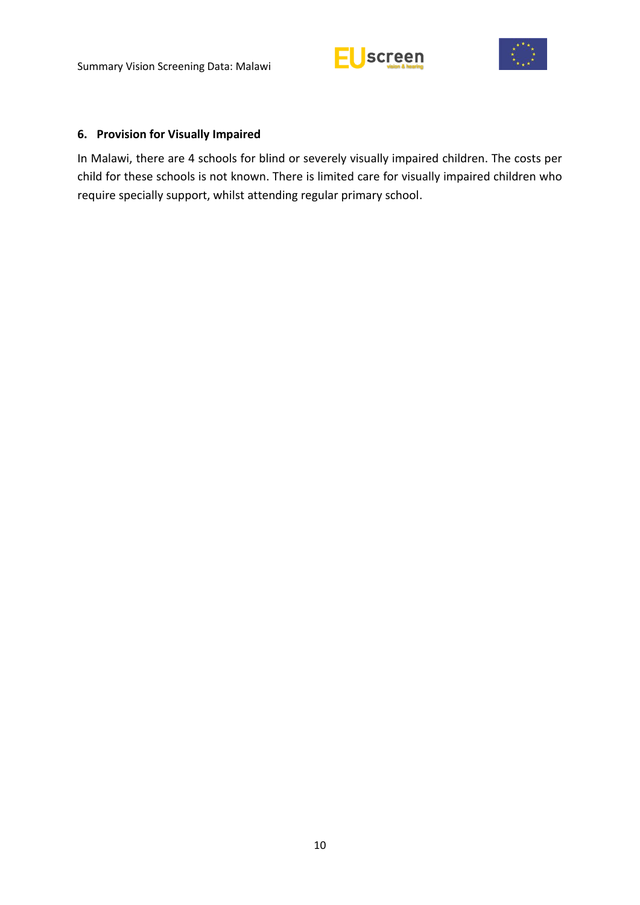![](_page_15_Picture_1.jpeg)

![](_page_15_Picture_2.jpeg)

### <span id="page-15-0"></span>**6. Provision for Visually Impaired**

In Malawi, there are 4 schools for blind or severely visually impaired children. The costs per child for these schools is not known. There is limited care for visually impaired children who require specially support, whilst attending regular primary school.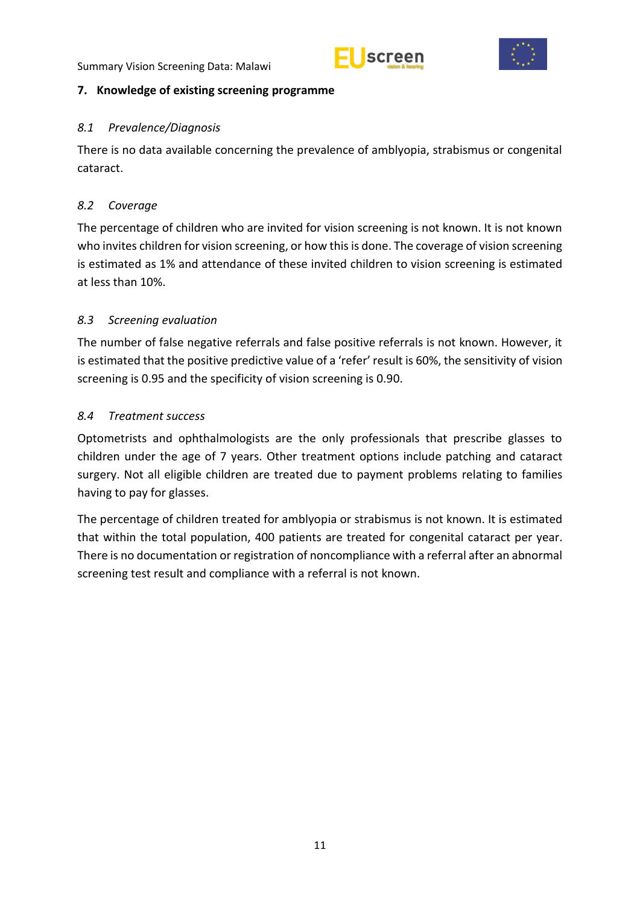![](_page_16_Picture_1.jpeg)

![](_page_16_Picture_2.jpeg)

# <span id="page-16-0"></span>**7. Knowledge of existing screening programme**

## <span id="page-16-1"></span>*8.1 Prevalence/Diagnosis*

There is no data available concerning the prevalence of amblyopia, strabismus or congenital cataract.

# <span id="page-16-2"></span>*8.2 Coverage*

The percentage of children who are invited for vision screening is not known. It is not known who invites children for vision screening, or how this is done. The coverage of vision screening is estimated as 1% and attendance of these invited children to vision screening is estimated at less than 10%.

# <span id="page-16-3"></span>*8.3 Screening evaluation*

The number of false negative referrals and false positive referrals is not known. However, it is estimated that the positive predictive value of a 'refer' result is 60%, the sensitivity of vision screening is 0.95 and the specificity of vision screening is 0.90.

# <span id="page-16-4"></span>*8.4 Treatment success*

Optometrists and ophthalmologists are the only professionals that prescribe glasses to children under the age of 7 years. Other treatment options include patching and cataract surgery. Not all eligible children are treated due to payment problems relating to families having to pay for glasses.

The percentage of children treated for amblyopia or strabismus is not known. It is estimated that within the total population, 400 patients are treated for congenital cataract per year. There is no documentation or registration of noncompliance with a referral after an abnormal screening test result and compliance with a referral is not known.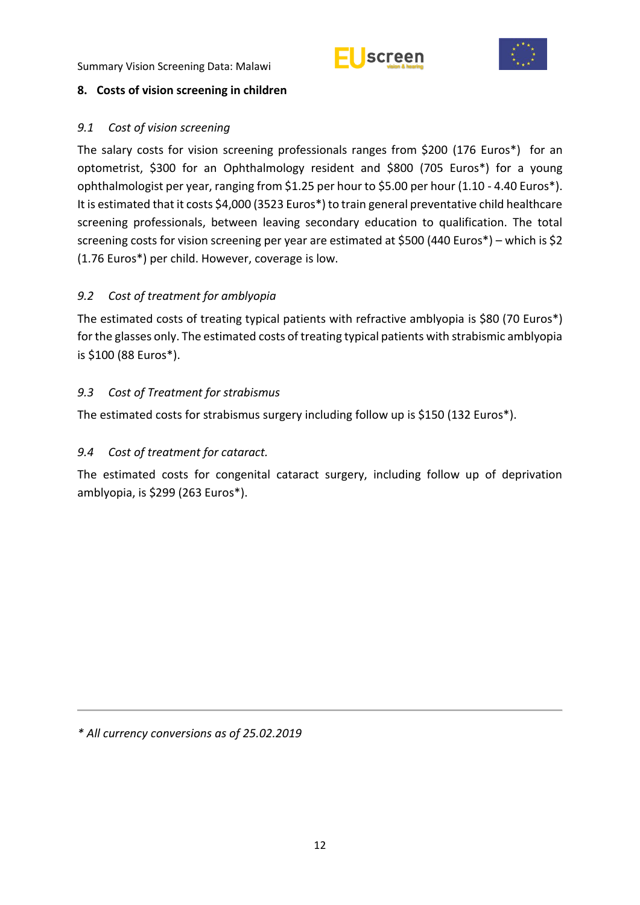![](_page_17_Picture_1.jpeg)

![](_page_17_Picture_2.jpeg)

## <span id="page-17-0"></span>**8. Costs of vision screening in children**

## <span id="page-17-1"></span>*9.1 Cost of vision screening*

The salary costs for vision screening professionals ranges from \$200 (176 Euros\*) for an optometrist, \$300 for an Ophthalmology resident and \$800 (705 Euros\*) for a young ophthalmologist per year, ranging from \$1.25 per hour to \$5.00 per hour (1.10 - 4.40 Euros\*). It is estimated that it costs \$4,000 (3523 Euros\*) to train general preventative child healthcare screening professionals, between leaving secondary education to qualification. The total screening costs for vision screening per year are estimated at \$500 (440 Euros\*) – which is \$2 (1.76 Euros\*) per child. However, coverage is low.

# <span id="page-17-2"></span>*9.2 Cost of treatment for amblyopia*

The estimated costs of treating typical patients with refractive amblyopia is \$80 (70 Euros\*) for the glasses only. The estimated costs of treating typical patients with strabismic amblyopia is \$100 (88 Euros\*).

## <span id="page-17-3"></span>*9.3 Cost of Treatment for strabismus*

The estimated costs for strabismus surgery including follow up is \$150 (132 Euros\*).

# <span id="page-17-4"></span>*9.4 Cost of treatment for cataract.*

The estimated costs for congenital cataract surgery, including follow up of deprivation amblyopia, is \$299 (263 Euros\*).

*\* All currency conversions as of 25.02.2019*